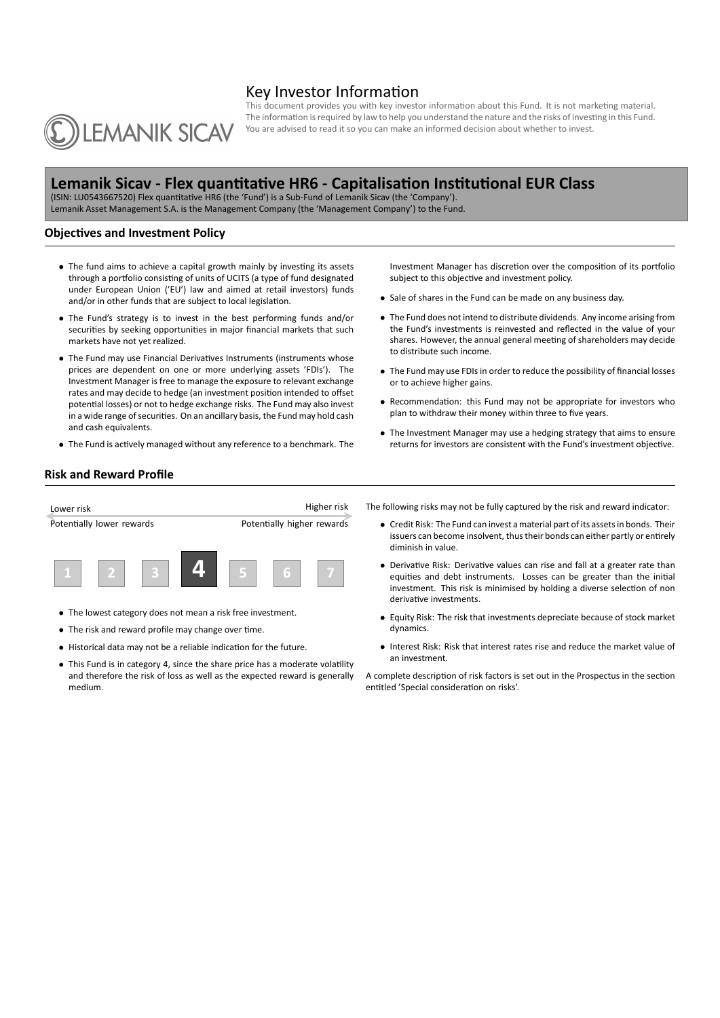# Key Investor Information



This document provides you with key investor information about this Fund. It is not marketing material. The information is required by law to help you understand the nature and the risks of investing in this Fund. You are advised to read it so you can make an informed decision about whether to invest.

# **Lemanik Sicav ‐ Flex quantitative HR6 ‐ Capitalisation Institutional EUR Class**

(ISIN: LU0543667520) Flex quantitative HR6 (the 'Fund') is a Sub‐Fund of Lemanik Sicav (the 'Company'). Lemanik Asset Management S.A. is the Management Company (the 'Management Company') to the Fund.

## **Objectives and Investment Policy**

- *•* The fund aims to achieve a capital growth mainly by investing its assets through a portfolio consisting of units of UCITS (a type of fund designated under European Union ('EU') law and aimed at retail investors) funds and/or in other funds that are subject to local legislation.
- *•* The Fund's strategy is to invest in the best performing funds and/or securities by seeking opportunities in major financial markets that such markets have not yet realized.
- *•* The Fund may use Financial Derivatives Instruments (instruments whose prices are dependent on one or more underlying assets 'FDIs'). The Investment Manager is free to manage the exposure to relevant exchange rates and may decide to hedge (an investment position intended to offset potential losses) or not to hedge exchange risks. The Fund may also invest in a wide range of securities. On an ancillary basis, the Fund may hold cash and cash equivalents.
- *•* The Fund is actively managed without any reference to a benchmark. The

Investment Manager has discretion over the composition of its portfolio subject to this objective and investment policy.

- *•* Sale of shares in the Fund can be made on any business day.
- *•* The Fund does not intend to distribute dividends. Any income arising from the Fund's investments is reinvested and reflected in the value of your shares. However, the annual general meeting of shareholders may decide to distribute such income.
- *•* The Fund may use FDIs in order to reduce the possibility of financial losses or to achieve higher gains.
- *•* Recommendation: this Fund may not be appropriate for investors who plan to withdraw their money within three to five years.
- *•* The Investment Manager may use a hedging strategy that aims to ensure returns for investors are consistent with the Fund's investment objective.

## **Risk and Reward Profile**

| Lower risk                |  |  |  |                            | Higher risk |
|---------------------------|--|--|--|----------------------------|-------------|
| Potentially lower rewards |  |  |  | Potentially higher rewards |             |
|                           |  |  |  | a                          |             |

- *•* The lowest category does not mean a risk free investment.
- *•* The risk and reward profile may change over time.
- *•* Historical data may not be a reliable indication for the future.
- *•* This Fund is in category 4, since the share price has a moderate volatility and therefore the risk of loss as well as the expected reward is generally medium.

The following risks may not be fully captured by the risk and reward indicator:

- *•* Credit Risk: The Fund can invest a material part of its assets in bonds. Their issuers can become insolvent, thus their bonds can either partly or entirely diminish in value.
- *•* Derivative Risk: Derivative values can rise and fall at a greater rate than equities and debt instruments. Losses can be greater than the initial investment. This risk is minimised by holding a diverse selection of non derivative investments.
- *•* Equity Risk: The risk that investments depreciate because of stock market dynamics.
- *•* Interest Risk: Risk that interest rates rise and reduce the market value of an investment.

A complete description of risk factors is set out in the Prospectus in the section entitled 'Special consideration on risks'.